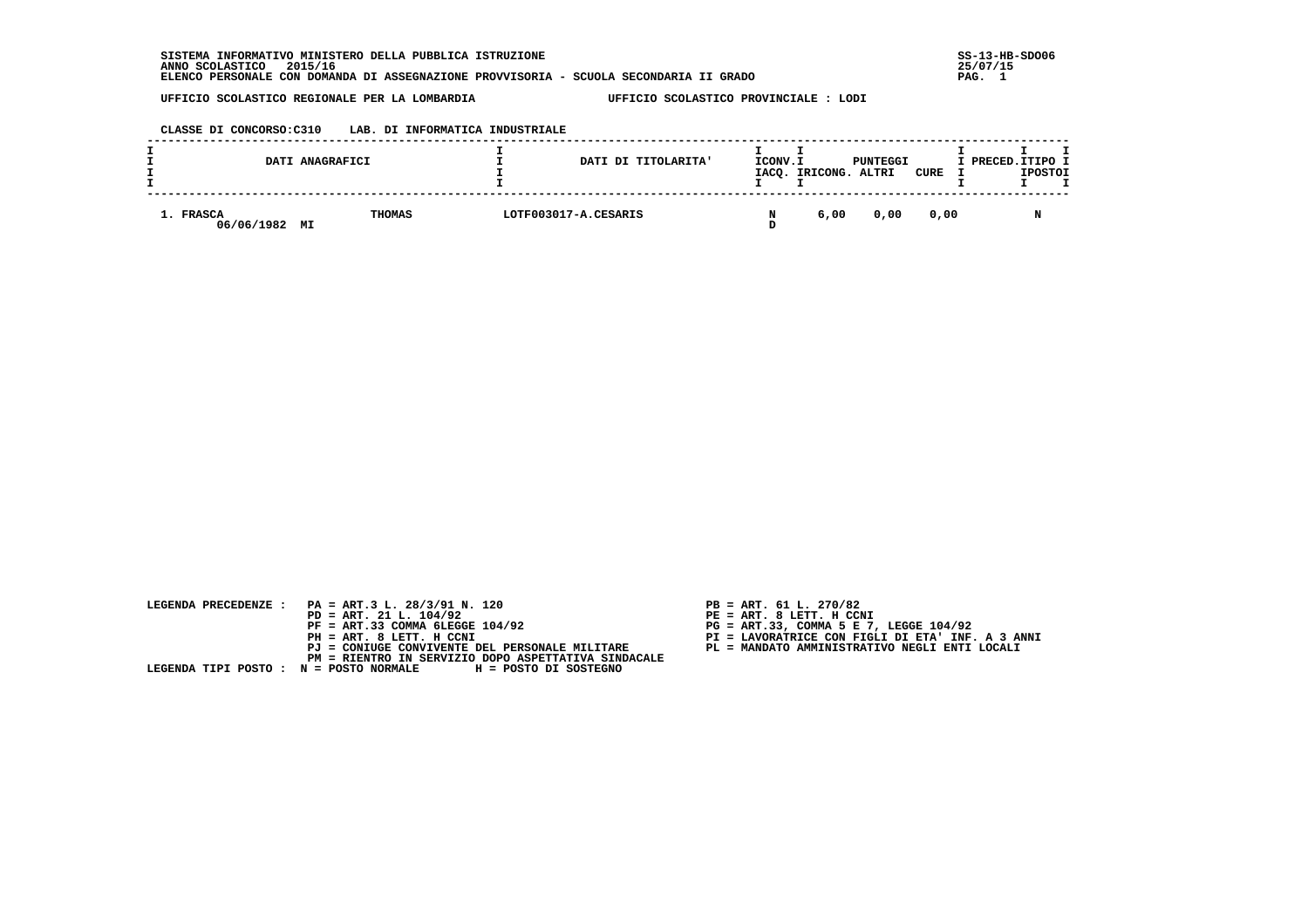SISTEMA INFORMATIVO MINISTERO DELLA PUBBLICA ISTRUZIONE  **ANNO SCOLASTICO 2015/16 25/07/15 ELENCO PERSONALE CON DOMANDA DI ASSEGNAZIONE PROVVISORIA - SCUOLA SECONDARIA II GRADO PAG. 1**

 **UFFICIO SCOLASTICO REGIONALE PER LA LOMBARDIA UFFICIO SCOLASTICO PROVINCIALE : LODI**

# **CLASSE DI CONCORSO:C310 LAB. DI INFORMATICA INDUSTRIALE**

|                         | DATI ANAGRAFICI | DATI DI TITOLARITA'  | ICONV.I | IACQ. IRICONG. | PUNTEGGI<br>ALTRI | CURE | I PRECED.ITIPO I | <b>IPOSTOI</b> |  |
|-------------------------|-----------------|----------------------|---------|----------------|-------------------|------|------------------|----------------|--|
| 1. FRASCA<br>06/06/1982 | THOMAS<br>MI    | LOTF003017-A.CESARIS |         | 6,00           | 0.00              | 0.00 |                  |                |  |

| LEGENDA PRECEDENZE : PA = ART.3 L. 28/3/91 N. 120            | $PB = ART. 61 L. 270/82$                         |
|--------------------------------------------------------------|--------------------------------------------------|
| $PD = ART. 21 L. 104/92$                                     | PE = ART. 8 LETT. H CCNI                         |
| $PF = ART.33 COMMA 6LEGGE 104/92$                            | $PG = ART.33$ , COMMA 5 E 7, LEGGE 104/92        |
| PH = ART. 8 LETT. H CCNI                                     | PI = LAVORATRICE CON FIGLI DI ETA' INF. A 3 ANNI |
| PJ = CONIUGE CONVIVENTE DEL PERSONALE MILITARE               | PL = MANDATO AMMINISTRATIVO NEGLI ENTI LOCALI    |
| PM = RIENTRO IN SERVIZIO DOPO ASPETTATIVA SINDACALE          |                                                  |
| LEGENDA TIPI POSTO : N = POSTO NORMALE H = POSTO DI SOSTEGNO |                                                  |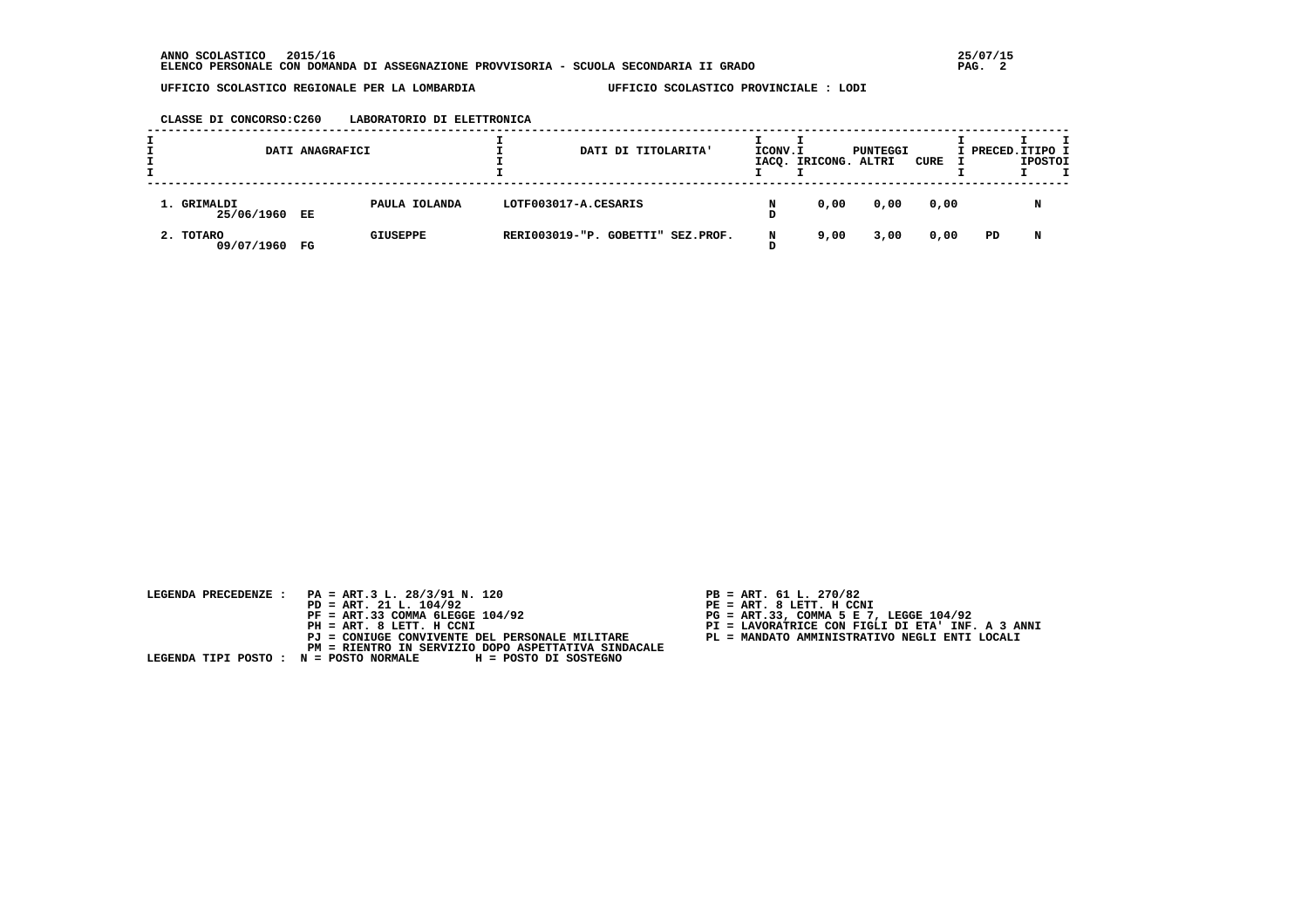#### **CLASSE DI CONCORSO:C260 LABORATORIO DI ELETTRONICA**

|                           | DATI ANAGRAFICI |                 |                      | DATI DI TITOLARITA'               | ICONV.I | IACQ. IRICONG. ALTRI | PUNTEGGI | CURE | I PRECED. ITIPO I | <b>IPOSTOI</b> |  |
|---------------------------|-----------------|-----------------|----------------------|-----------------------------------|---------|----------------------|----------|------|-------------------|----------------|--|
| 1. GRIMALDI<br>25/06/1960 | EE              | PAULA IOLANDA   | LOTF003017-A.CESARIS |                                   |         | 0,00                 | 0,00     | 0,00 |                   |                |  |
| 2. TOTARO<br>09/07/1960   | FG              | <b>GIUSEPPE</b> |                      | RERI003019-"P. GOBETTI" SEZ.PROF. | N       | 9,00                 | 3,00     | 0,00 | PD                | N              |  |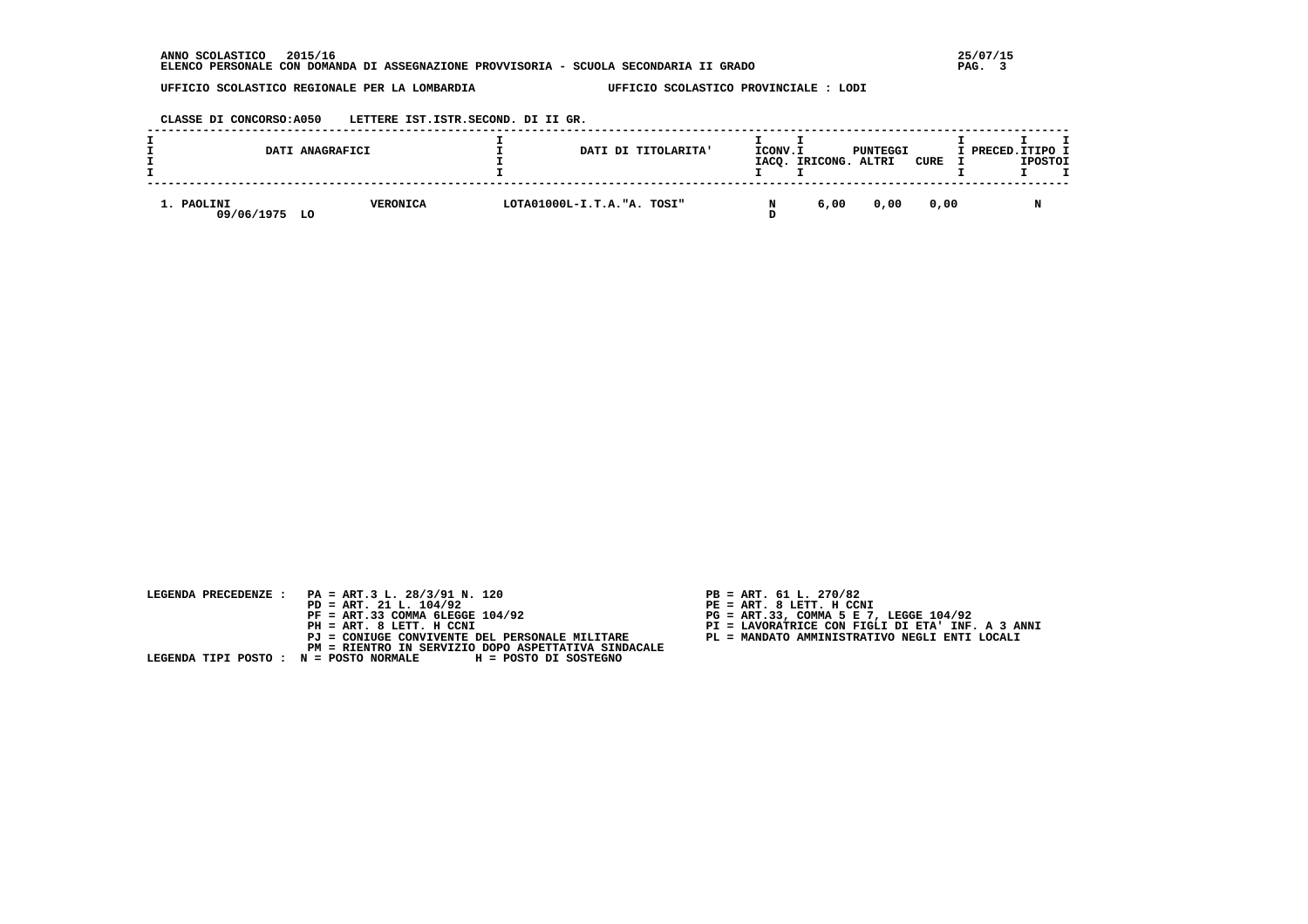**CLASSE DI CONCORSO:A050 LETTERE IST.ISTR.SECOND. DI II GR.**

|                             | DATI ANAGRAFICI | DATI DI TITOLARITA'         | ICONV.I | IACQ. IRICONG. ALTRI | PUNTEGGI | CURE | I PRECED.ITIPO I | <b>IPOSTOI</b> |  |
|-----------------------------|-----------------|-----------------------------|---------|----------------------|----------|------|------------------|----------------|--|
| 1. PAOLINI<br>09/06/1975 LO | <b>VERONICA</b> | LOTA01000L-I.T.A. "A. TOSI" |         | 6,00                 | 0.00     | 0.00 |                  |                |  |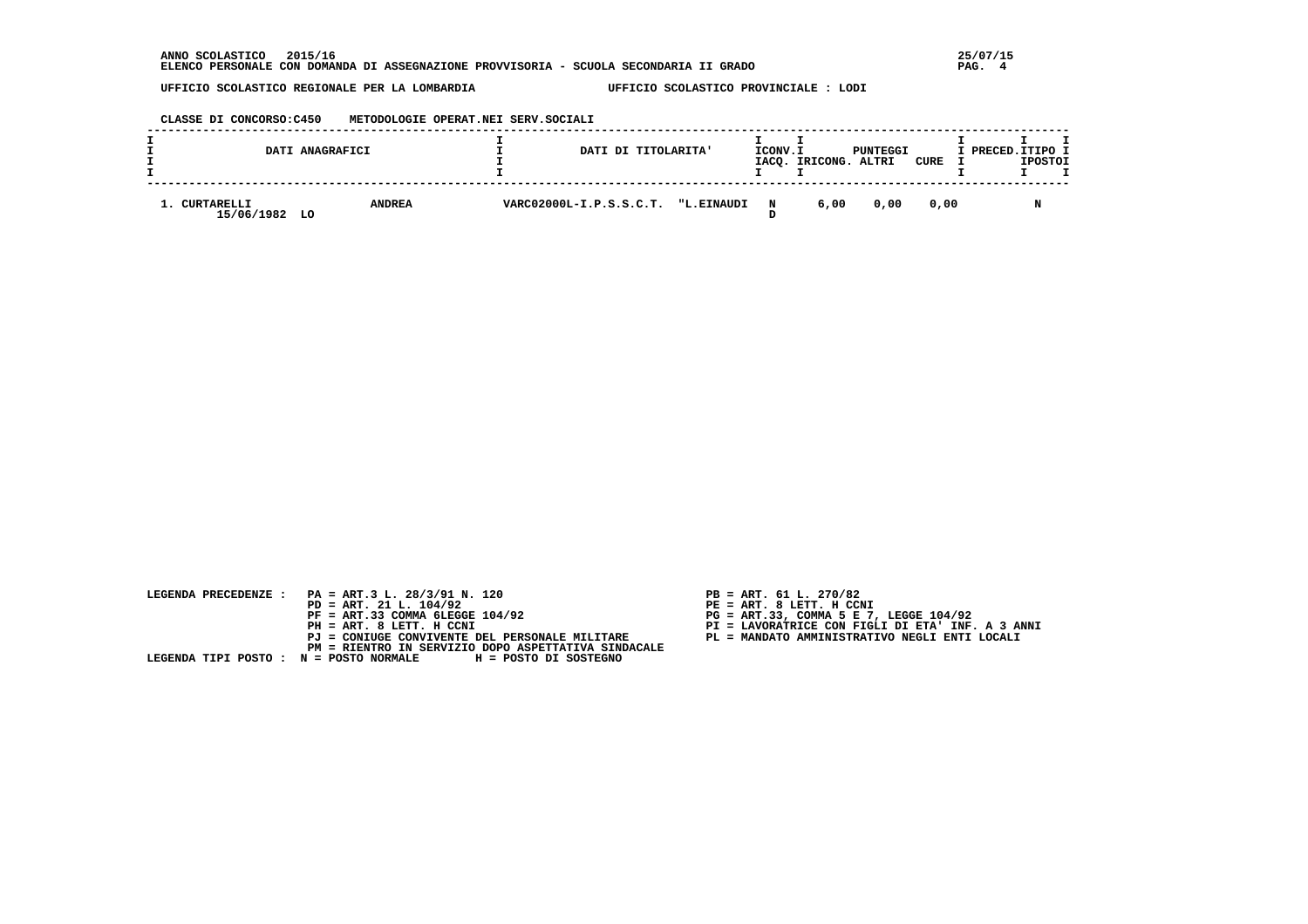**CLASSE DI CONCORSO:C450 METODOLOGIE OPERAT.NEI SERV.SOCIALI**

|                          | DATI ANAGRAFICI     | DATI DI TITOLARITA'                | ICONV.I     | IACQ. IRICONG. ALTRI | PUNTEGGI | CURE | I PRECED.ITIPO I | <b>IPOSTOI</b> |  |
|--------------------------|---------------------|------------------------------------|-------------|----------------------|----------|------|------------------|----------------|--|
| CURTARELLI<br>15/06/1982 | <b>ANDREA</b><br>LO | VARC02000L-I.P.S.S.C.T. "L.EINAUDI | $\mathbf N$ | 6,00                 | 0.00     | 0.00 |                  |                |  |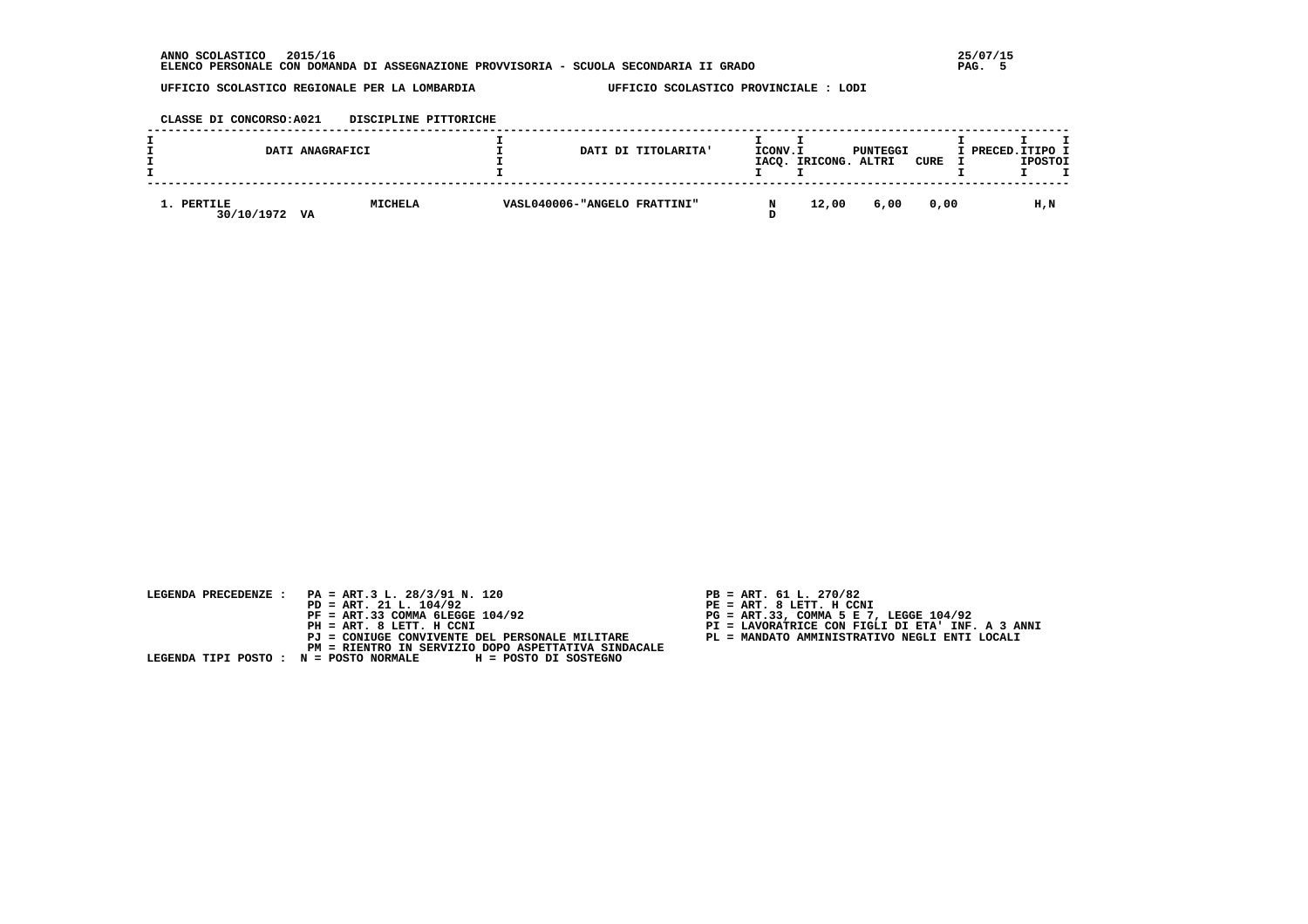**CLASSE DI CONCORSO:A021 DISCIPLINE PITTORICHE**

|                          | DATI ANAGRAFICI      | DATI DI TITOLARITA'          | ICONV.I | IACQ. IRICONG. ALTRI | PUNTEGGI | CURE | I PRECED. ITIPO I | <b>IPOSTOI</b> |  |
|--------------------------|----------------------|------------------------------|---------|----------------------|----------|------|-------------------|----------------|--|
| 1. PERTILE<br>30/10/1972 | <b>MICHELA</b><br>VA | VASL040006-"ANGELO FRATTINI" |         | 12,00                | 6,00     | 0.00 |                   | H,N            |  |

| LEGENDA PRECEDENZE : PA = ART.3 L. 28/3/91 N. 120<br>$PD = ART. 21 L. 104/92$<br>$PF = ART.33 COMMA 6LEGGE 104/92$<br>PH = ART. 8 LETT. H CCNI<br>PJ = CONIUGE CONVIVENTE DEL PERSONALE MILITARE | $PB = ART. 61 L. 270/82$<br>$PE = ART. 8 LETT. H CCNI$<br>$PG = ART.33$ , COMMA 5 E 7, LEGGE 104/92<br>PI = LAVORATRICE CON FIGLI DI ETA' INF. A 3 ANNI<br>PL = MANDATO AMMINISTRATIVO NEGLI ENTI LOCALI |
|--------------------------------------------------------------------------------------------------------------------------------------------------------------------------------------------------|----------------------------------------------------------------------------------------------------------------------------------------------------------------------------------------------------------|
| PM = RIENTRO IN SERVIZIO DOPO ASPETTATIVA SINDACALE<br>LEGENDA TIPI POSTO : N = POSTO NORMALE H = POSTO DI SOSTEGNO                                                                              |                                                                                                                                                                                                          |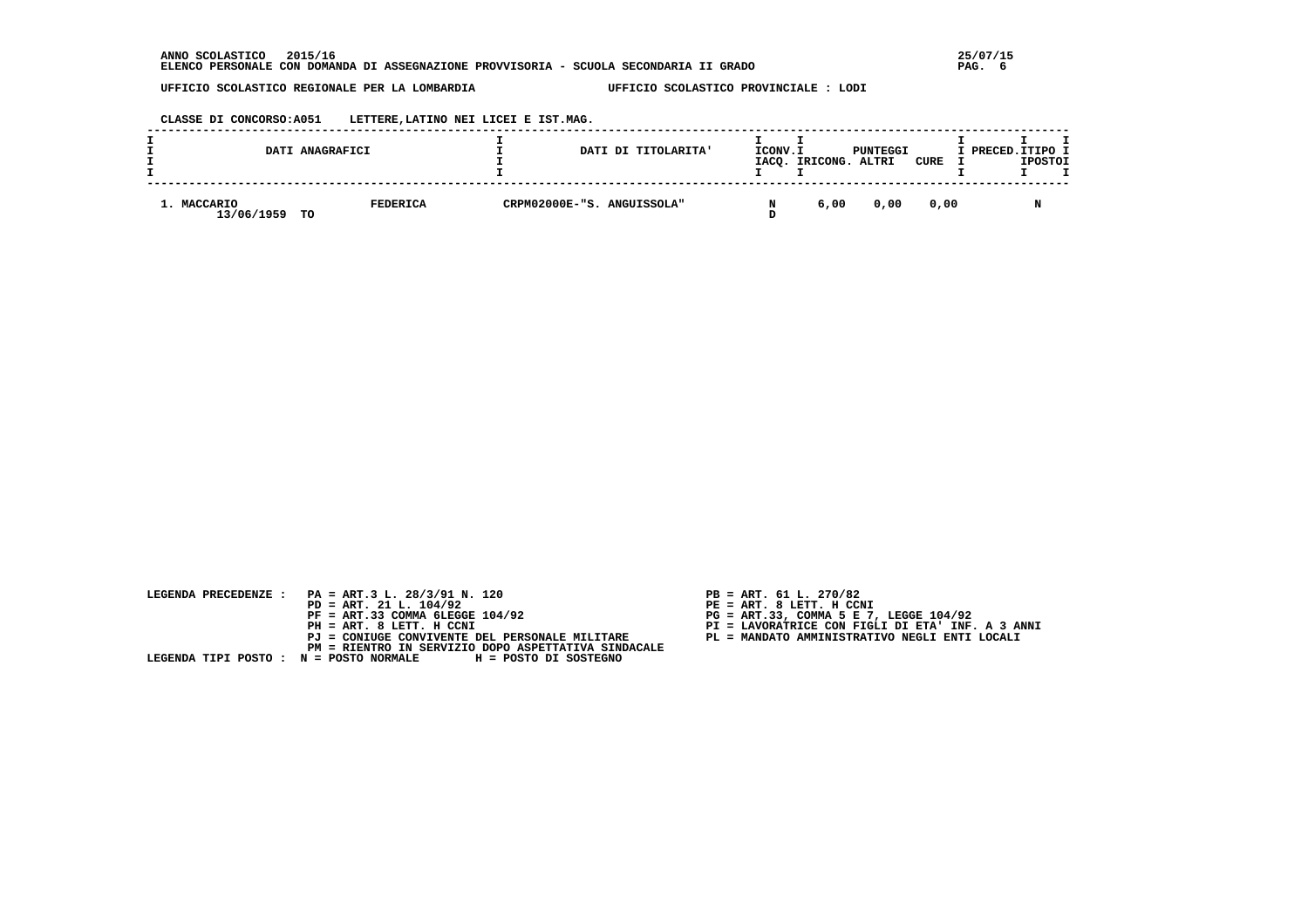**CLASSE DI CONCORSO:A051 LETTERE,LATINO NEI LICEI E IST.MAG.**

|                           | DATI ANAGRAFICI       | DATI DI TITOLARITA'        | ICONV.I | IACQ. IRICONG. ALTRI | PUNTEGGI | CURE | I PRECED.ITIPO I | <b>IPOSTOI</b> |  |
|---------------------------|-----------------------|----------------------------|---------|----------------------|----------|------|------------------|----------------|--|
| 1. MACCARIO<br>13/06/1959 | <b>FEDERICA</b><br>TО | CRPM02000E-"S. ANGUISSOLA" |         | 6,00                 | 0.00     | 0.00 |                  |                |  |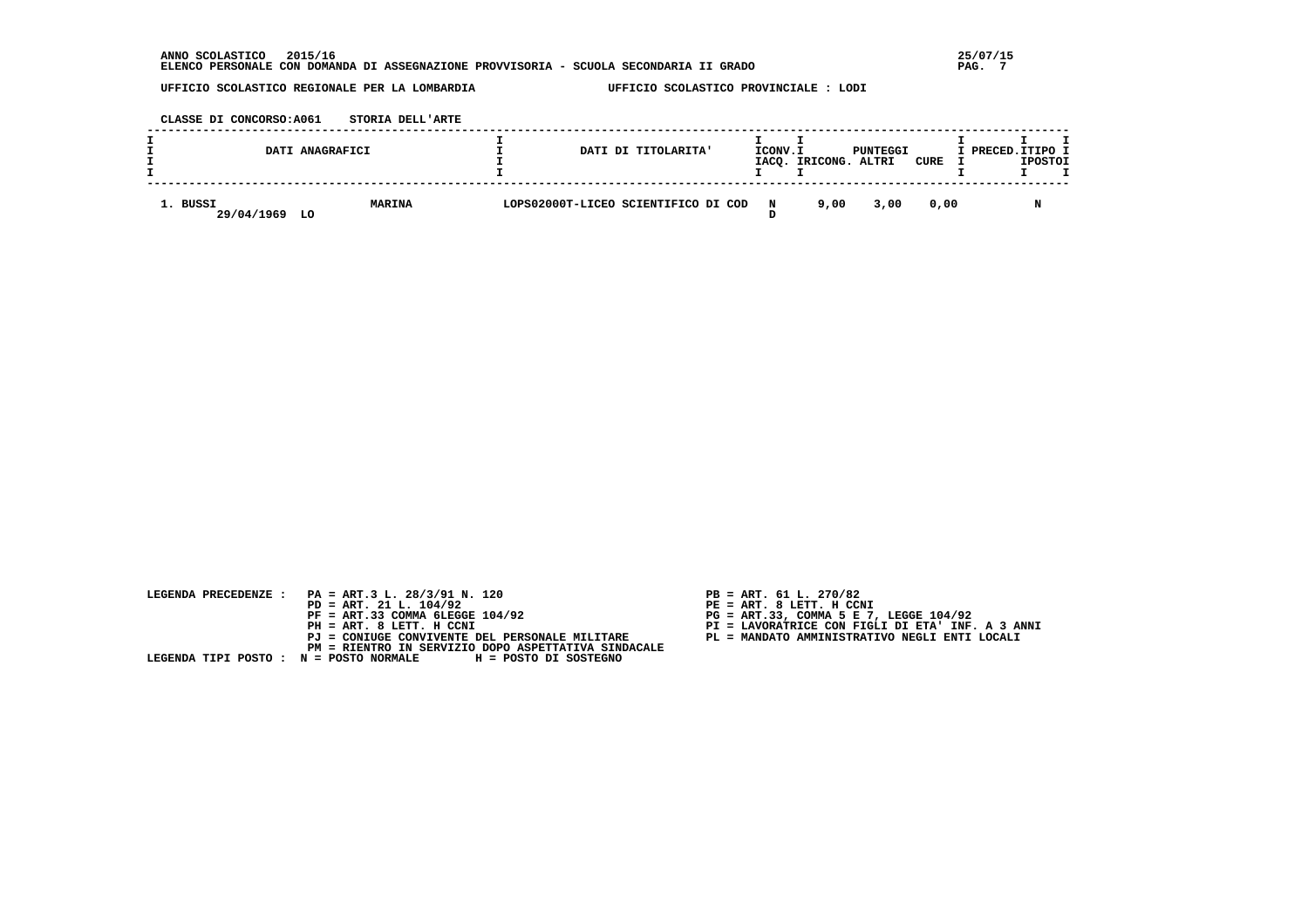**CLASSE DI CONCORSO:A061 STORIA DELL'ARTE**

|                        | DATI ANAGRAFICI     |                                     | DATI DI TITOLARITA' | ICONV.I     | IACQ. IRICONG. ALTRI | PUNTEGGI | CURE | I PRECED. ITIPO I | <b>IPOSTOI</b> |  |
|------------------------|---------------------|-------------------------------------|---------------------|-------------|----------------------|----------|------|-------------------|----------------|--|
| 1. BUSSI<br>29/04/1969 | <b>MARINA</b><br>LO | LOPS02000T-LICEO SCIENTIFICO DI COD |                     | $\mathbf N$ | 9,00                 | 3,00     | 0.00 |                   |                |  |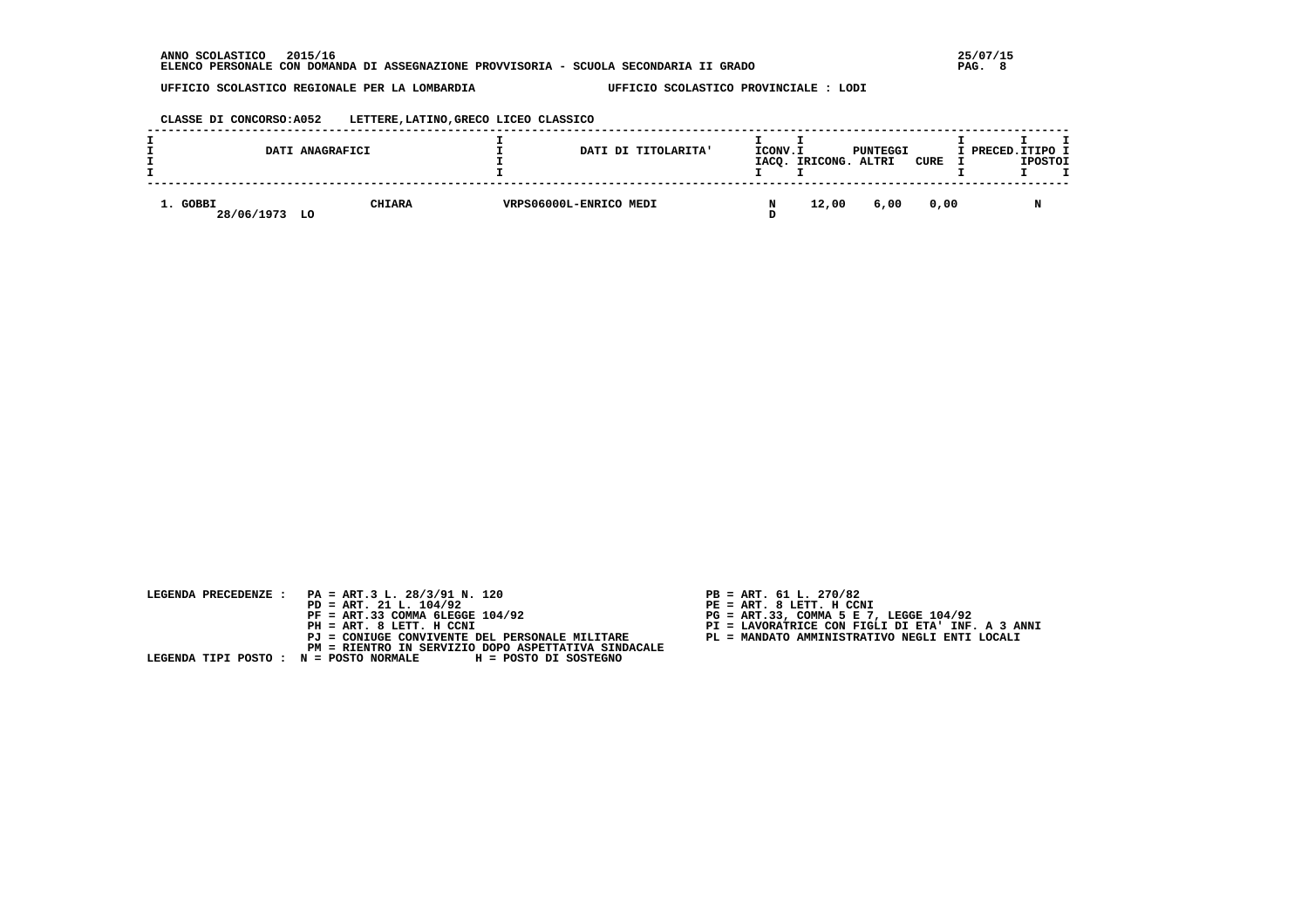#### **CLASSE DI CONCORSO:A052 LETTERE,LATINO,GRECO LICEO CLASSICO**

|                        | DATI ANAGRAFICI |               |                        | ICONV.I<br>DATI DI TITOLARITA'<br>IACO. | IRICONG. | PUNTEGGI<br>ALTRI | CURE | I PRECED.ITIPO I<br><b>IPOSTOI</b> |  |
|------------------------|-----------------|---------------|------------------------|-----------------------------------------|----------|-------------------|------|------------------------------------|--|
| 1. GOBBI<br>28/06/1973 | LO              | <b>CHIARA</b> | VRPS06000L-ENRICO MEDI |                                         | 12,00    | 6,00              | 0.00 |                                    |  |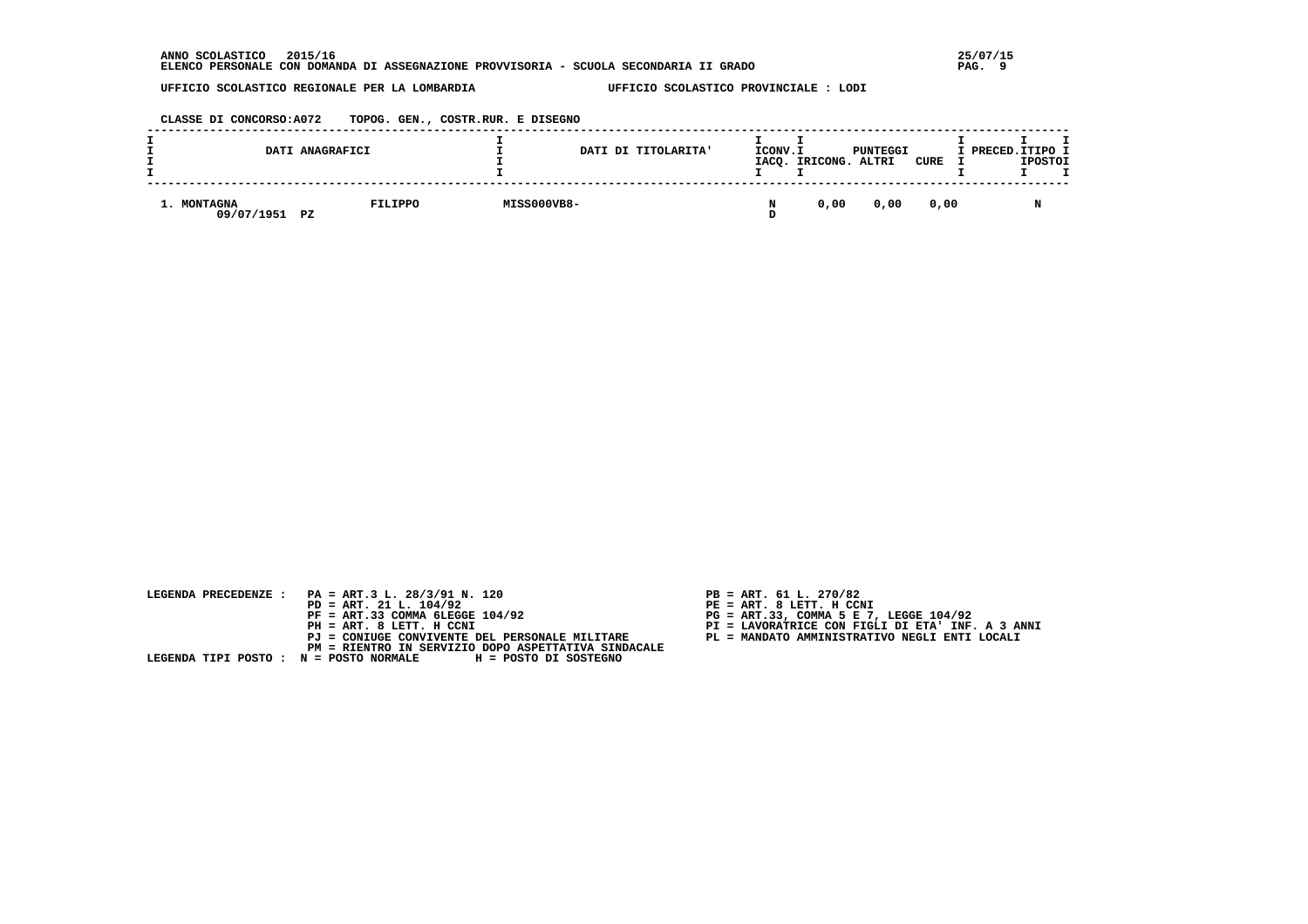**CLASSE DI CONCORSO:A072 TOPOG. GEN., COSTR.RUR. E DISEGNO**

|                           | DATI ANAGRAFICI |             | DATI DI TITOLARITA' | ICONV.I | IACQ. IRICONG. ALTRI | PUNTEGGI | CURE | I PRECED.ITIPO I | <b>IPOSTOI</b> |  |
|---------------------------|-----------------|-------------|---------------------|---------|----------------------|----------|------|------------------|----------------|--|
| 1. MONTAGNA<br>09/07/1951 | FILIPPO<br>PZ   | MISS000VB8- |                     |         | 0.00                 | 0.00     | 0.00 |                  |                |  |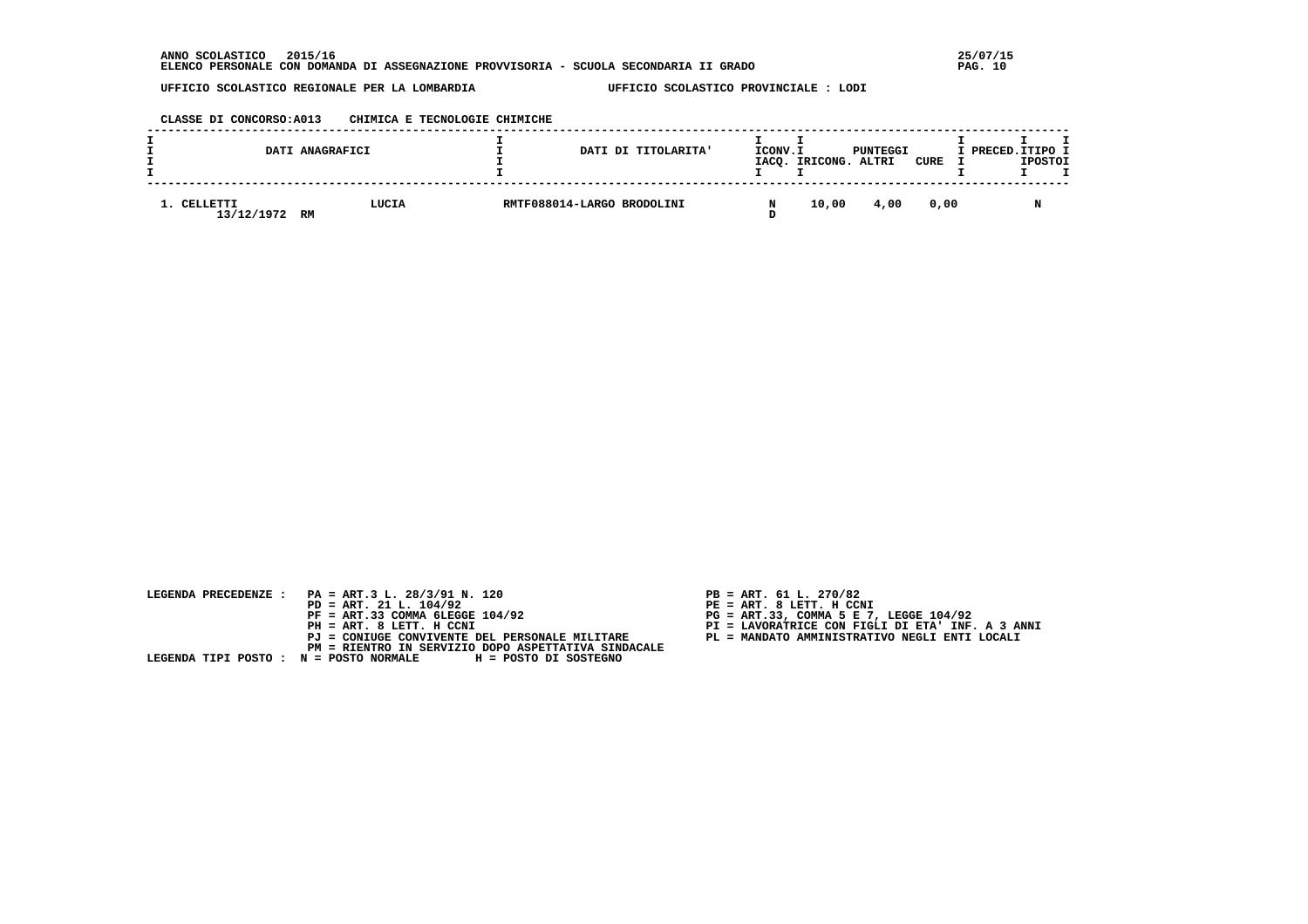### **CLASSE DI CONCORSO:A013 CHIMICA E TECNOLOGIE CHIMICHE**

|                           | DATI ANAGRAFICI | DATI DI TITOLARITA'        | ICONV.I | IACQ. IRICONG. ALTRI | PUNTEGGI | CURE | I PRECED. ITIPO I | <b>IPOSTOI</b> |  |
|---------------------------|-----------------|----------------------------|---------|----------------------|----------|------|-------------------|----------------|--|
| 1. CELLETTI<br>13/12/1972 | LUCIA<br>RM     | RMTF088014-LARGO BRODOLINI |         | 10,00                | 4,00     | 0.00 |                   |                |  |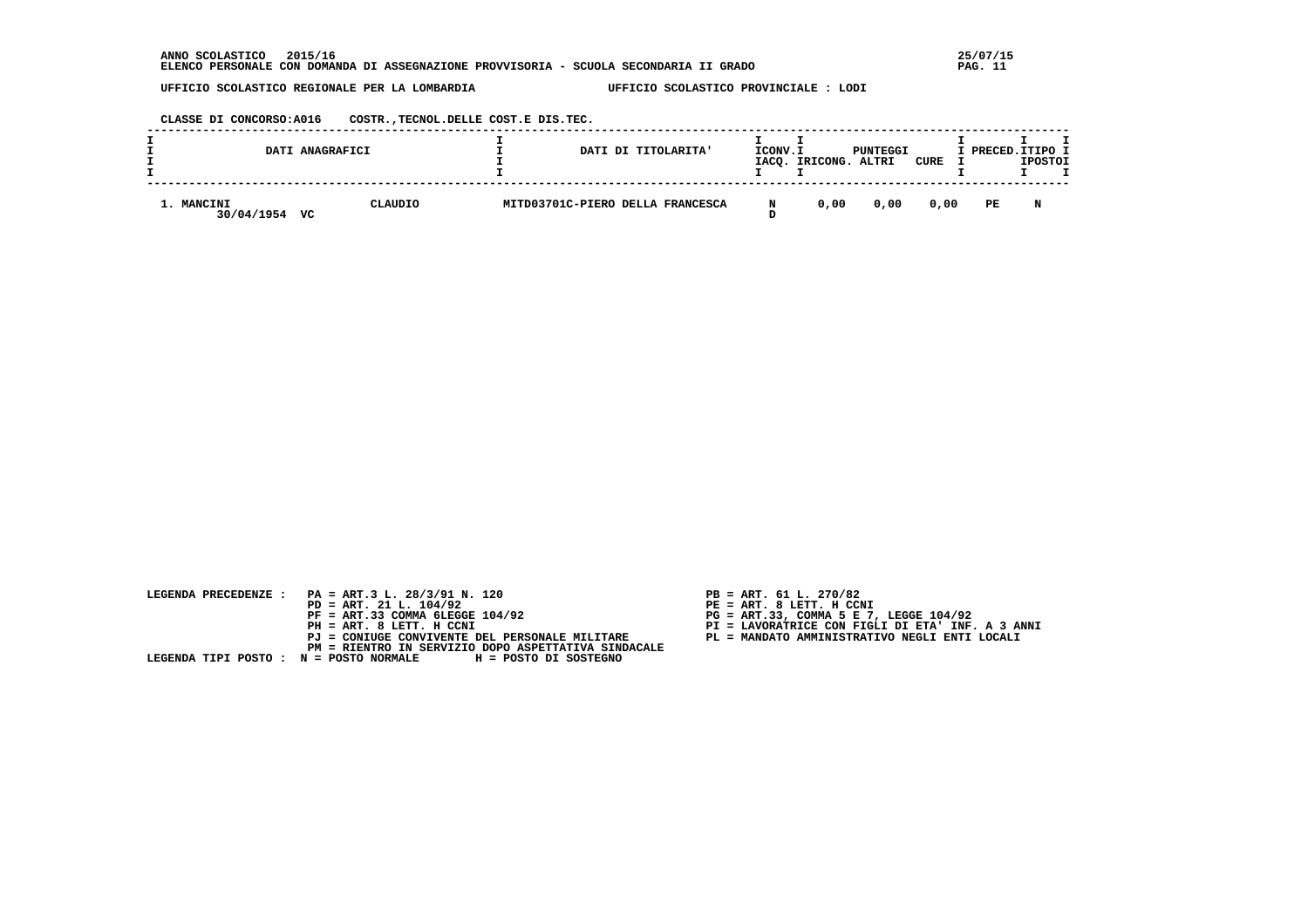**CLASSE DI CONCORSO:A016 COSTR.,TECNOL.DELLE COST.E DIS.TEC.**

|                          | DATI ANAGRAFICI | DATI DI TITOLARITA'              | ICONV.I | IACO. IRICONG. | PUNTEGGI<br>ALTRI | CURE | I PRECED.ITIPO I | <b>IPOSTOI</b> |  |
|--------------------------|-----------------|----------------------------------|---------|----------------|-------------------|------|------------------|----------------|--|
| 1. MANCINI<br>30/04/1954 | CLAUDIO<br>vc   | MITD03701C-PIERO DELLA FRANCESCA |         | 0.00           | 0.00              | 0.00 | PE               | N              |  |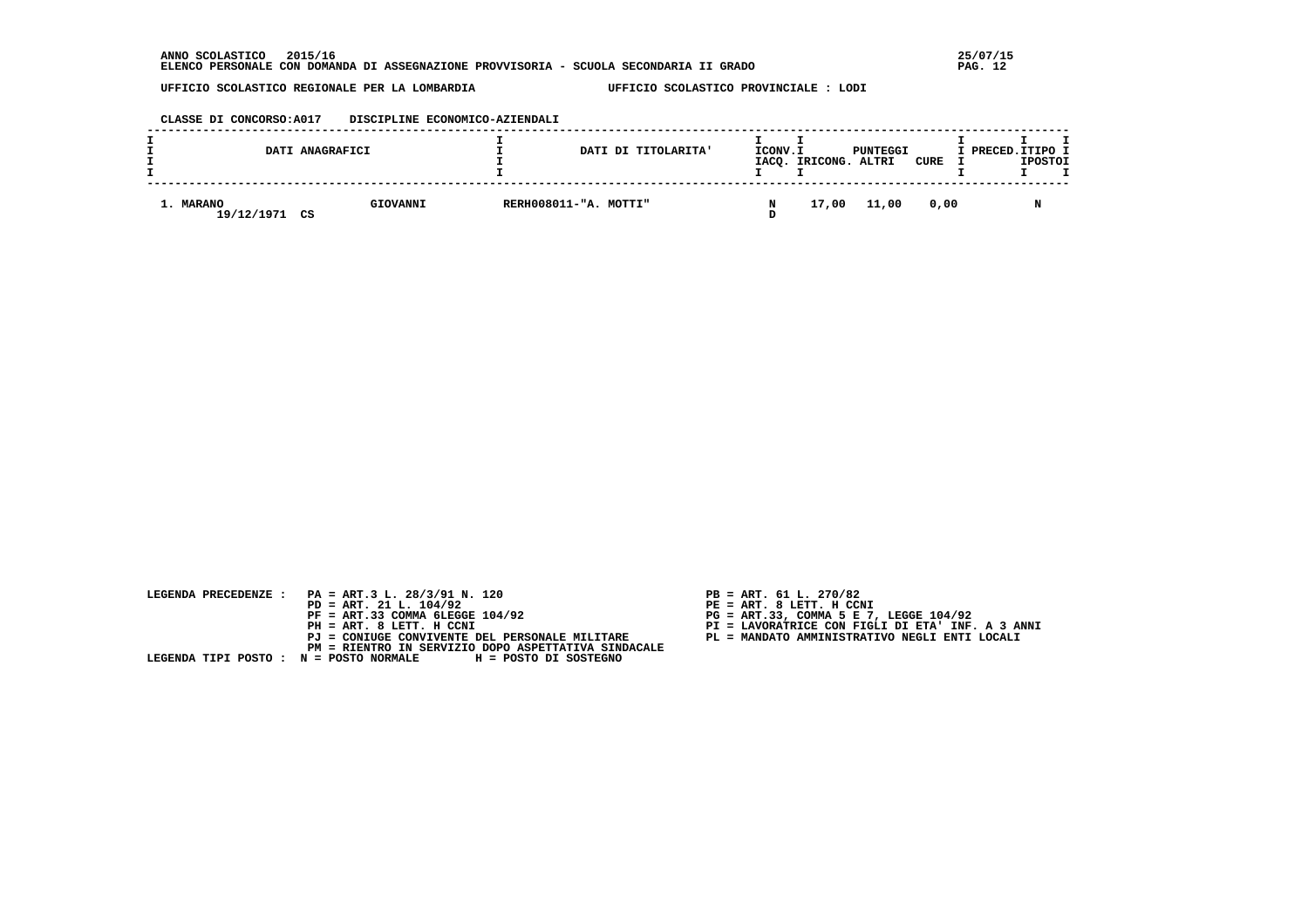#### **CLASSE DI CONCORSO:A017 DISCIPLINE ECONOMICO-AZIENDALI**

|                         | DATI ANAGRAFICI | DATI DI TITOLARITA'   | ICONV.I | IACQ. IRICONG. ALTRI | PUNTEGGI | CURE | I PRECED.ITIPO I | <b>IPOSTOI</b> |  |
|-------------------------|-----------------|-----------------------|---------|----------------------|----------|------|------------------|----------------|--|
| 1. MARANO<br>19/12/1971 | GIOVANNI<br>CS  | RERH008011-"A. MOTTI" |         | 17,00                | 11,00    | 0.00 |                  |                |  |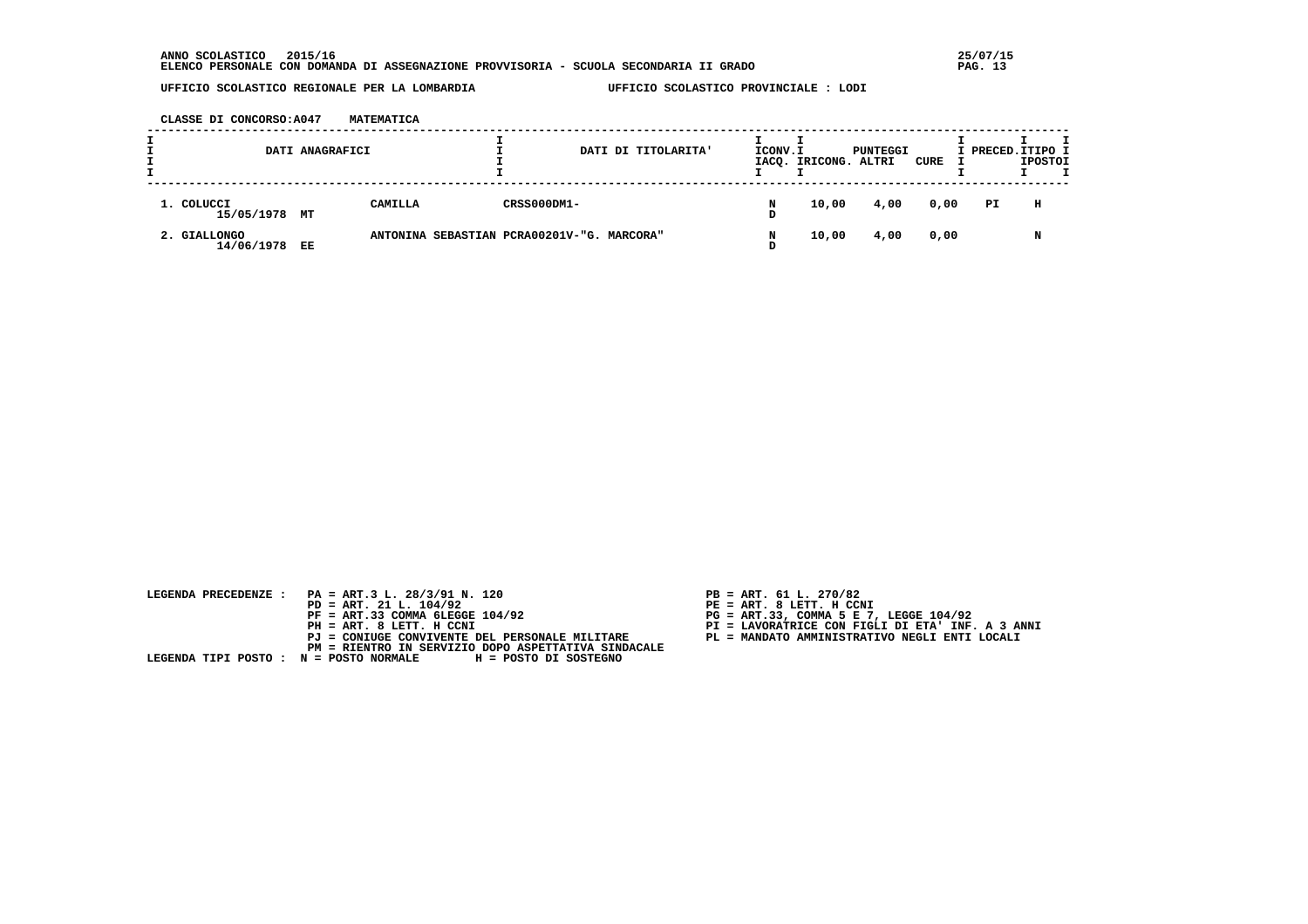**CLASSE DI CONCORSO:A047 MATEMATICA**

|                            | DATI ANAGRAFICI |                                            |             | DATI DI TITOLARITA' | ICONV.I | IACQ. IRICONG. ALTRI | PUNTEGGI | CURE | I PRECED. ITIPO I | <b>IPOSTOI</b> |  |
|----------------------------|-----------------|--------------------------------------------|-------------|---------------------|---------|----------------------|----------|------|-------------------|----------------|--|
| 1. COLUCCI<br>15/05/1978   | МT              | CAMILLA                                    | CRSS000DM1- |                     | N<br>D  | 10,00                | 4,00     | 0,00 | PI                | н              |  |
| 2. GIALLONGO<br>14/06/1978 | EE              | ANTONINA SEBASTIAN PCRA00201V-"G. MARCORA" |             |                     |         | 10,00                | 4,00     | 0,00 |                   | N              |  |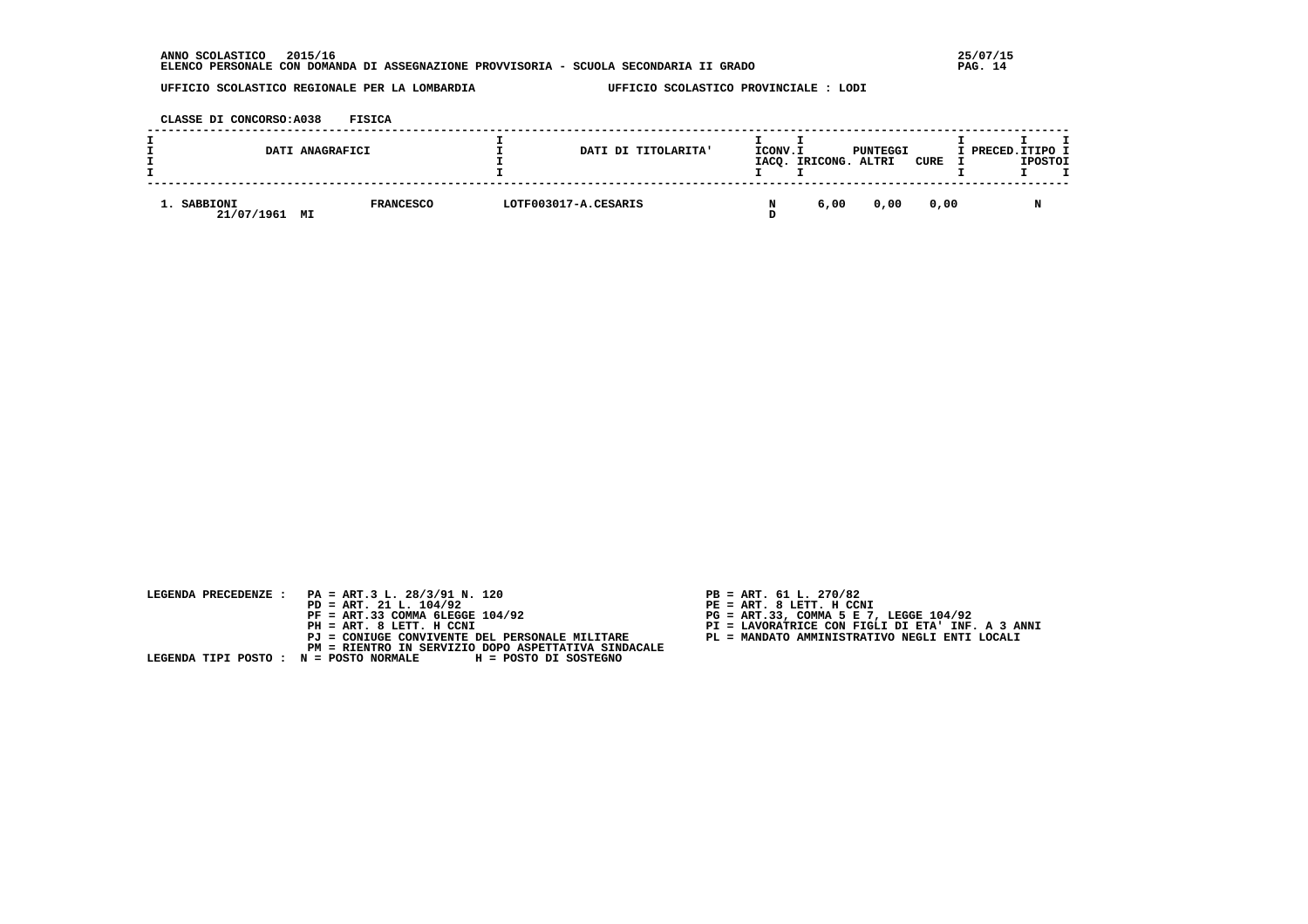**CLASSE DI CONCORSO:A038 FISICA**

|                                 | DATI ANAGRAFICI  | DATI DI TITOLARITA'  | ICONV.I | IACQ. IRICONG. | PUNTEGGI<br>ALTRI | CURE | I PRECED. ITIPO I | <b>IPOSTOI</b> |  |
|---------------------------------|------------------|----------------------|---------|----------------|-------------------|------|-------------------|----------------|--|
| 1. SABBIONI<br>21/07/1961<br>МI | <b>FRANCESCO</b> | LOTF003017-A.CESARIS |         | 6,00           | 0,00              | 0.00 |                   |                |  |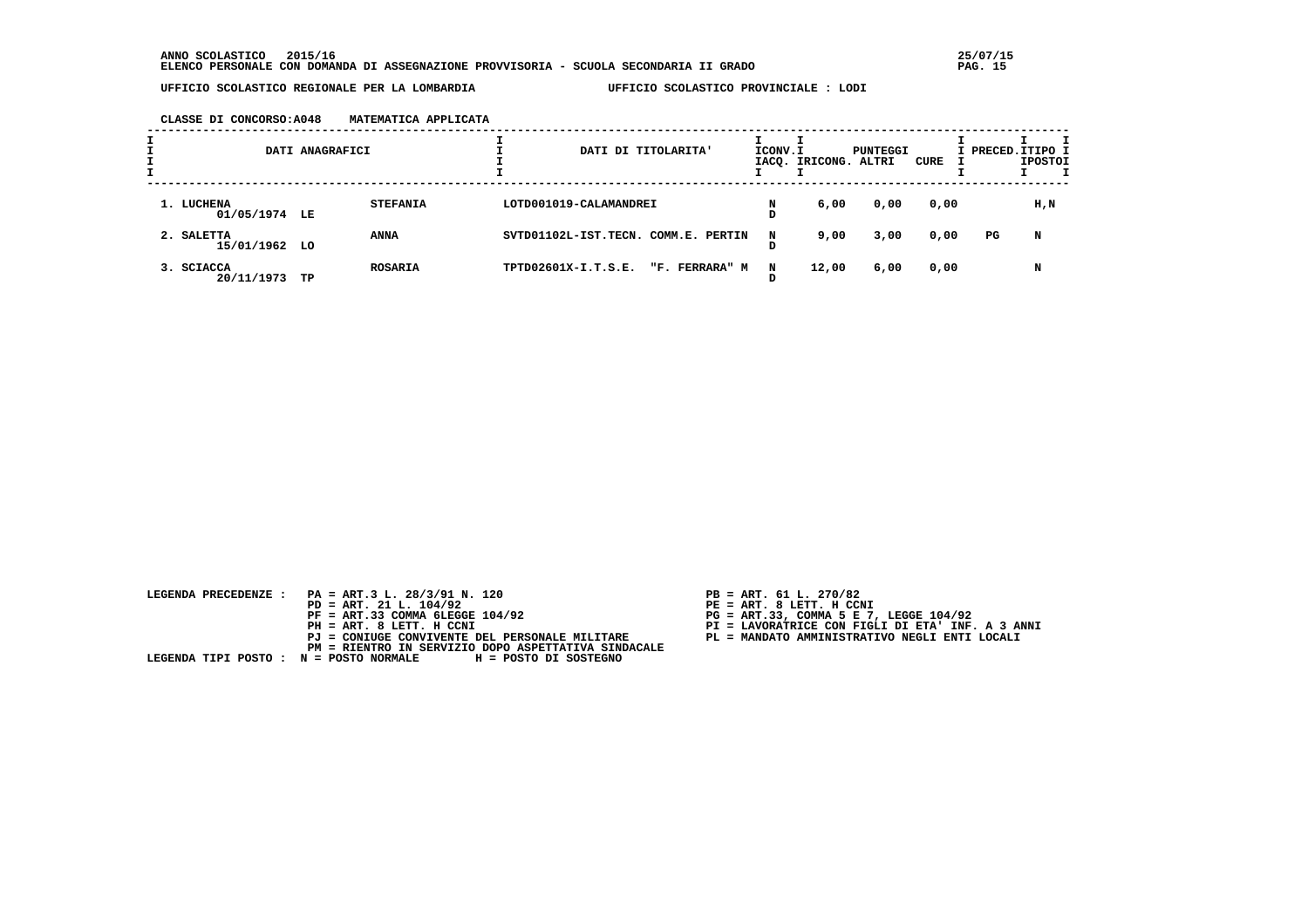**CLASSE DI CONCORSO:A048 MATEMATICA APPLICATA**

|                             | DATI ANAGRAFICI      |                 |                                     | DATI DI TITOLARITA' |                | ICONV.I | IACQ. IRICONG. ALTRI | PUNTEGGI | CURE |    | I PRECED.ITIPO I<br><b>IPOSTOI</b> |
|-----------------------------|----------------------|-----------------|-------------------------------------|---------------------|----------------|---------|----------------------|----------|------|----|------------------------------------|
| 1. LUCHENA<br>01/05/1974 LE |                      | <b>STEFANIA</b> | LOTD001019-CALAMANDREI              |                     |                |         | 6,00                 | 0,00     | 0,00 |    | H,N                                |
| 2. SALETTA<br>15/01/1962 LO | <b>ANNA</b>          |                 | SVTD01102L-IST.TECN. COMM.E. PERTIN |                     |                | N       | 9,00                 | 3,00     | 0,00 | PG | N                                  |
| 3. SCIACCA<br>20/11/1973    | <b>ROSARIA</b><br>TP |                 | TPTD02601X-I.T.S.E.                 |                     | "F. FERRARA" M | N       | 12,00                | 6,00     | 0,00 |    | N                                  |

| LEGENDA PRECEDENZE : PA = ART.3 L. 28/3/91 N. 120            | $PB = ART. 61 L. 270/82$                         |
|--------------------------------------------------------------|--------------------------------------------------|
| $PD = ART. 21 L. 104/92$                                     | $PE = ART. 8 LET. H CCNI$                        |
| $PF = ART.33 COMMA 6LEGGE 104/92$                            | $PG = ART.33$ , COMMA 5 E 7, LEGGE 104/92        |
| PH = ART. 8 LETT. H CCNI                                     | PI = LAVORATRICE CON FIGLI DI ETA' INF. A 3 ANNI |
| PJ = CONIUGE CONVIVENTE DEL PERSONALE MILITARE               | PL = MANDATO AMMINISTRATIVO NEGLI ENTI LOCALI    |
| PM = RIENTRO IN SERVIZIO DOPO ASPETTATIVA SINDACALE          |                                                  |
| LEGENDA TIPI POSTO : N = POSTO NORMALE H = POSTO DI SOSTEGNO |                                                  |
|                                                              |                                                  |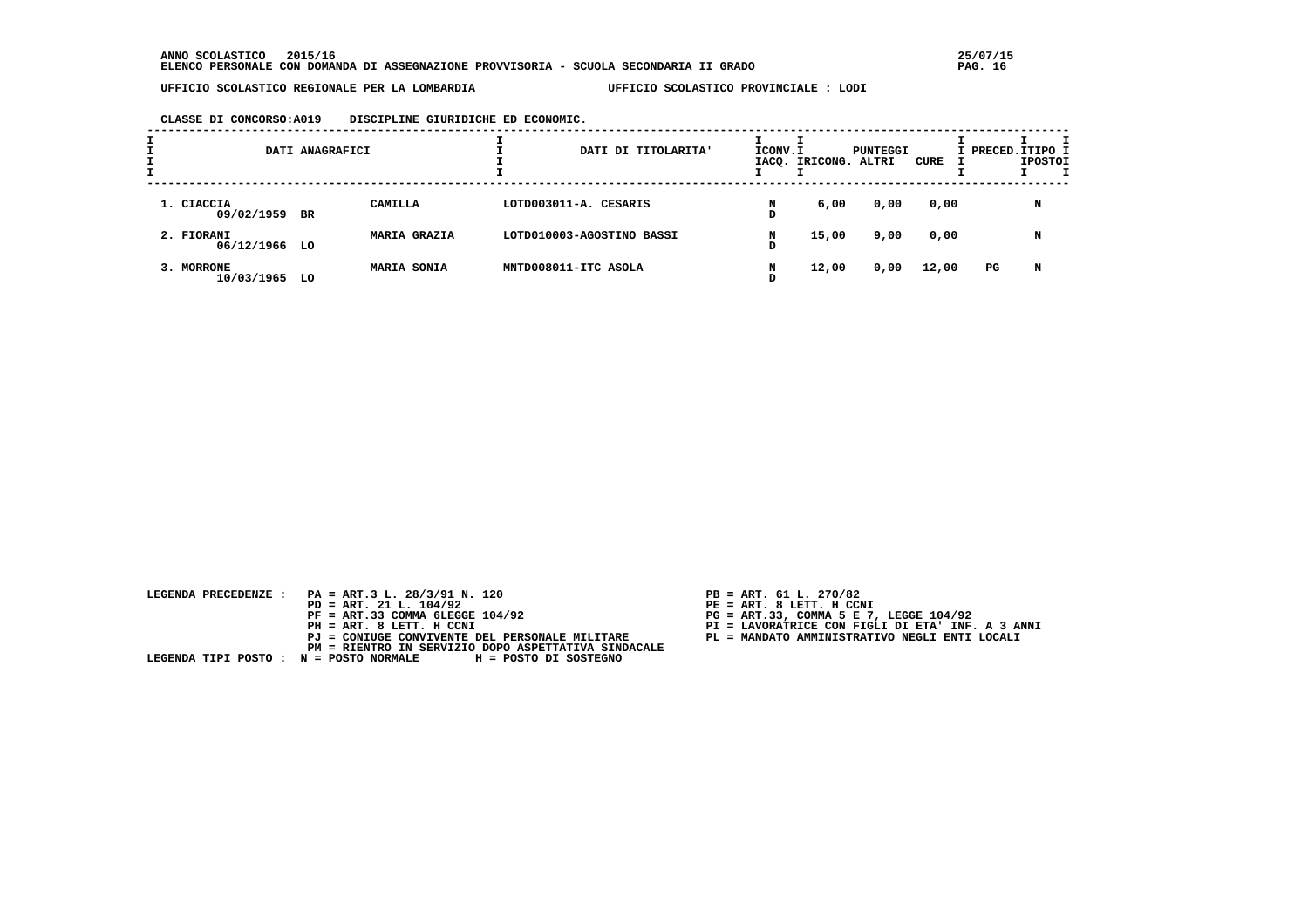**CLASSE DI CONCORSO:A019 DISCIPLINE GIURIDICHE ED ECONOMIC.**

|                             | DATI ANAGRAFICI |                     | DATI DI TITOLARITA'       | ICONV.I | IACQ. IRICONG. ALTRI | PUNTEGGI | CURE  | I PRECED.ITIPO I | <b>IPOSTOI</b> |  |
|-----------------------------|-----------------|---------------------|---------------------------|---------|----------------------|----------|-------|------------------|----------------|--|
| 1. CIACCIA<br>09/02/1959 BR |                 | CAMILLA             | LOTD003011-A. CESARIS     | N<br>D  | 6,00                 | 0,00     | 0,00  |                  | N              |  |
| 2. FIORANI<br>06/12/1966 LO |                 | <b>MARIA GRAZIA</b> | LOTD010003-AGOSTINO BASSI | N<br>D  | 15,00                | 9,00     | 0,00  |                  | N              |  |
| 3. MORRONE<br>10/03/1965 LO |                 | MARIA SONIA         | MNTD008011-ITC ASOLA      | N       | 12,00                | 0,00     | 12,00 | PG               | N              |  |